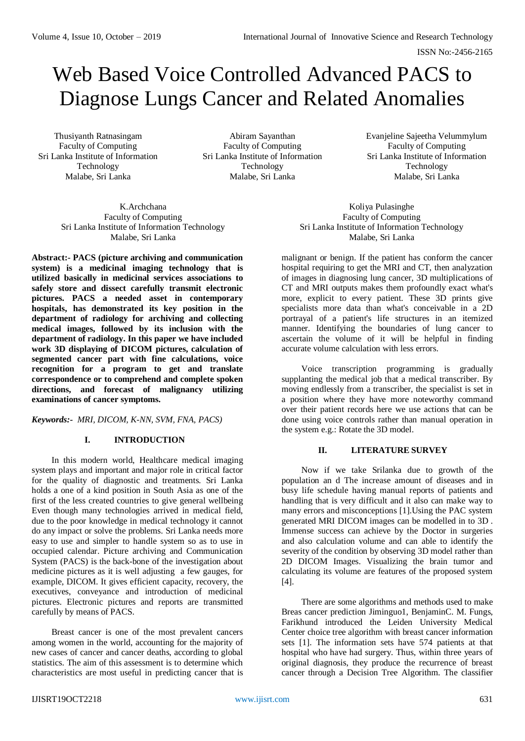# Web Based Voice Controlled Advanced PACS to Diagnose Lungs Cancer and Related Anomalies

Thusiyanth Ratnasingam Faculty of Computing Sri Lanka Institute of Information Technology Malabe, Sri Lanka

Abiram Sayanthan Faculty of Computing Sri Lanka Institute of Information Technology Malabe, Sri Lanka

Evanjeline Sajeetha Velummylum Faculty of Computing Sri Lanka Institute of Information Technology Malabe, Sri Lanka

K.Archchana Faculty of Computing Sri Lanka Institute of Information Technology Malabe, Sri Lanka

**Abstract:- PACS (picture archiving and communication system) is a medicinal imaging technology that is utilized basically in medicinal services associations to safely store and dissect carefully transmit electronic pictures. PACS a needed asset in contemporary hospitals, has demonstrated its key position in the department of radiology for archiving and collecting medical images, followed by its inclusion with the department of radiology. In this paper we have included work 3D displaying of DICOM pictures, calculation of segmented cancer part with fine calculations, voice recognition for a program to get and translate correspondence or to comprehend and complete spoken directions, and forecast of malignancy utilizing examinations of cancer symptoms.**

*Keywords:- MRI, DICOM, K-NN, SVM, FNA, PACS)*

# **I. INTRODUCTION**

In this modern world, Healthcare medical imaging system plays and important and major role in critical factor for the quality of diagnostic and treatments. Sri Lanka holds a one of a kind position in South Asia as one of the first of the less created countries to give general wellbeing Even though many technologies arrived in medical field, due to the poor knowledge in medical technology it cannot do any impact or solve the problems. Sri Lanka needs more easy to use and simpler to handle system so as to use in occupied calendar. Picture archiving and Communication System (PACS) is the back-bone of the investigation about medicine pictures as it is well adjusting a few gauges, for example, DICOM. It gives efficient capacity, recovery, the executives, conveyance and introduction of medicinal pictures. Electronic pictures and reports are transmitted carefully by means of PACS.

Breast cancer is one of the most prevalent cancers among women in the world, accounting for the majority of new cases of cancer and cancer deaths, according to global statistics. The aim of this assessment is to determine which characteristics are most useful in predicting cancer that is

Koliya Pulasinghe Faculty of Computing Sri Lanka Institute of Information Technology Malabe, Sri Lanka

malignant or benign. If the patient has conform the cancer hospital requiring to get the MRI and CT, then analyzation of images in diagnosing lung cancer, 3D multiplications of CT and MRI outputs makes them profoundly exact what's more, explicit to every patient. These 3D prints give specialists more data than what's conceivable in a 2D portrayal of a patient's life structures in an itemized manner. Identifying the boundaries of lung cancer to ascertain the volume of it will be helpful in finding accurate volume calculation with less errors.

Voice transcription programming is gradually supplanting the medical job that a medical transcriber. By moving endlessly from a transcriber, the specialist is set in a position where they have more noteworthy command over their patient records here we use actions that can be done using voice controls rather than manual operation in the system e.g.: Rotate the 3D model.

# **II. LITERATURE SURVEY**

Now if we take Srilanka due to growth of the population an d The increase amount of diseases and in busy life schedule having manual reports of patients and handling that is very difficult and it also can make way to many errors and misconceptions [1].Using the PAC system generated MRI DICOM images can be modelled in to 3D . Immense success can achieve by the Doctor in surgeries and also calculation volume and can able to identify the severity of the condition by observing 3D model rather than 2D DICOM Images. Visualizing the brain tumor and calculating its volume are features of the proposed system [4].

There are some algorithms and methods used to make Breas cancer prediction Jiminguo1, BenjaminC. M. Fungs, Farikhund introduced the Leiden University Medical Center choice tree algorithm with breast cancer information sets [1]. The information sets have 574 patients at that hospital who have had surgery. Thus, within three years of original diagnosis, they produce the recurrence of breast cancer through a Decision Tree Algorithm. The classifier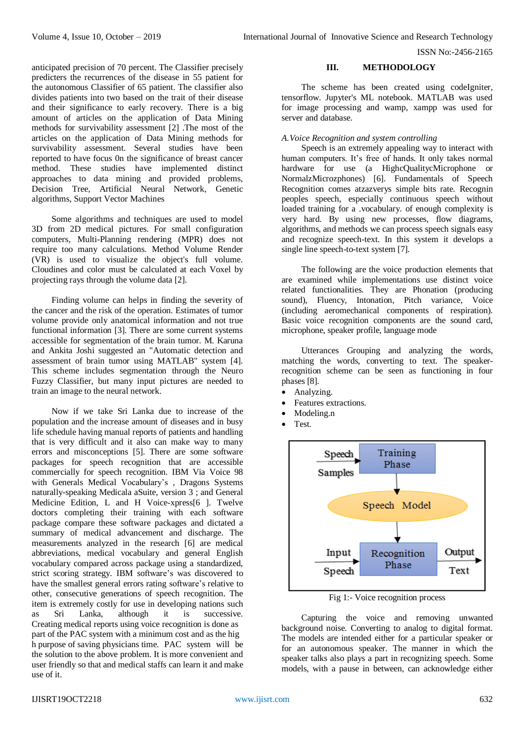anticipated precision of 70 percent. The Classifier precisely predicters the recurrences of the disease in 55 patient for the autonomous Classifier of 65 patient. The classifier also divides patients into two based on the trait of their disease and their significance to early recovery. There is a big amount of articles on the application of Data Mining methods for survivability assessment [2] .The most of the articles on the application of Data Mining methods for survivability assessment. Several studies have been reported to have focus 0n the significance of breast cancer method. These studies have implemented distinct approaches to data mining and provided problems, Decision Tree, Artificial Neural Network, Genetic algorithms, Support Vector Machines

Some algorithms and techniques are used to model 3D from 2D medical pictures. For small configuration computers, Multi-Planning rendering (MPR) does not require too many calculations. Method Volume Render (VR) is used to visualize the object's full volume. Cloudines and color must be calculated at each Voxel by projecting rays through the volume data [2].

Finding volume can helps in finding the severity of the cancer and the risk of the operation. Estimates of tumor volume provide only anatomical information and not true functional information [3]. There are some current systems accessible for segmentation of the brain tumor. M. Karuna and Ankita Joshi suggested an "Automatic detection and assessment of brain tumor using MATLAB" system [4]. This scheme includes segmentation through the Neuro Fuzzy Classifier, but many input pictures are needed to train an image to the neural network.

Now if we take Sri Lanka due to increase of the population and the increase amount of diseases and in busy life schedule having manual reports of patients and handling that is very difficult and it also can make way to many errors and misconceptions [5]. There are some software packages for speech recognition that are accessible commercially for speech recognition. IBM Via Voice 98 with Generals Medical Vocabulary's , Dragons Systems naturally-speaking Medicala aSuite, version 3 ; and General Medicine Edition, L and H Voice-xpress[6 ]. Twelve doctors completing their training with each software package compare these software packages and dictated a summary of medical advancement and discharge. The measurements analyzed in the research [6] are medical abbreviations, medical vocabulary and general English vocabulary compared across package using a standardized, strict scoring strategy. IBM software's was discovered to have the smallest general errors rating software's relative to other, consecutive generations of speech recognition. The item is extremely costly for use in developing nations such as Sri Lanka. although it is successive. as Sri Lanka, although it is successive. Creating medical reports using voice recognition is done as part of the PAC system with a minimum cost and as the hig h purpose of saving physicians time. PAC system will be the solution to the above problem. It is more convenient and user friendly so that and medical staffs can learn it and make use of it.

#### **III. METHODOLOGY**

The scheme has been created using codeIgniter, tensorflow. Jupyter's ML notebook. MATLAB was used for image processing and wamp, xampp was used for server and database.

#### *A.Voice Recognition and system controlling*

Speech is an extremely appealing way to interact with human computers. It's free of hands. It only takes normal hardware for use (a HighcQualitycMicrophone or NormalzMicrozphones) [6]. Fundamentals of Speech Recognition comes atzazverys simple bits rate. Recognin peoples speech, especially continuous speech without loaded training for a .vocabulary. of enough complexity is very hard. By using new processes, flow diagrams, algorithms, and methods we can process speech signals easy and recognize speech-text. In this system it develops a single line speech-to-text system [7].

The following are the voice production elements that are examined while implementations use distinct voice related functionalities. They are Phonation (producing sound), Fluency, Intonation, Pitch variance, Voice (including aeromechanical components of respiration). Basic voice recognition components are the sound card, microphone, speaker profile, language mode

Utterances Grouping and analyzing the words, matching the words, converting to text. The speakerrecognition scheme can be seen as functioning in four phases [8].

- Analyzing.
- Features extractions.
- Modeling.n
- Test.



Fig 1:- Voice recognition process

Capturing the voice and removing unwanted background noise. Converting to analog to digital format. The models are intended either for a particular speaker or for an autonomous speaker. The manner in which the speaker talks also plays a part in recognizing speech. Some models, with a pause in between, can acknowledge either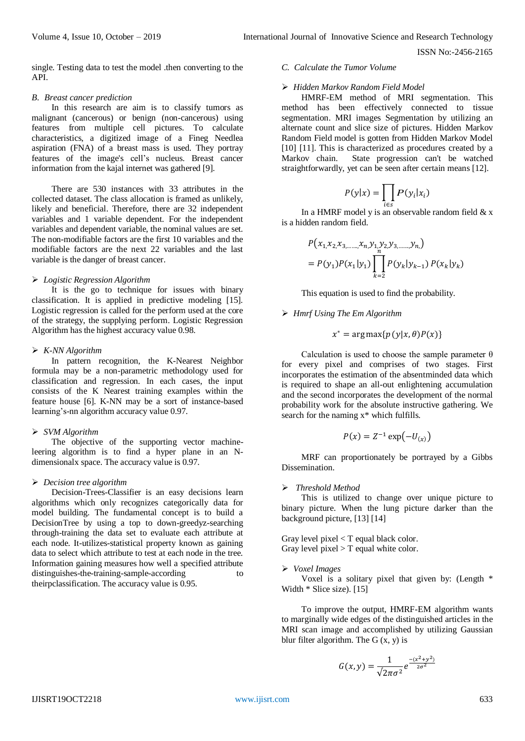single. Testing data to test the model .then converting to the API.

#### *B. Breast cancer prediction*

In this research are aim is to classify tumors as malignant (cancerous) or benign (non-cancerous) using features from multiple cell pictures. To calculate characteristics, a digitized image of a Fineg Needlea aspiration (FNA) of a breast mass is used. They portray features of the image's cell's nucleus. Breast cancer information from the kajal internet was gathered [9].

There are 530 instances with 33 attributes in the collected dataset. The class allocation is framed as unlikely, likely and beneficial. Therefore, there are 32 independent variables and 1 variable dependent. For the independent variables and dependent variable, the nominal values are set. The non-modifiable factors are the first 10 variables and the modifiable factors are the next 22 variables and the last variable is the danger of breast cancer.

#### *Logistic Regression Algorithm*

It is the go to technique for issues with binary classification. It is applied in predictive modeling [15]. Logistic regression is called for the perform used at the core of the strategy, the supplying perform. Logistic Regression Algorithm has the highest accuracy value 0.98.

#### *K-NN Algorithm*

In pattern recognition, the K-Nearest Neighbor formula may be a non-parametric methodology used for classification and regression. In each cases, the input consists of the K Nearest training examples within the feature house [6]. K-NN may be a sort of instance-based learning's-nn algorithm accuracy value 0.97.

#### *SVM Algorithm*

The objective of the supporting vector machineleering algorithm is to find a hyper plane in an Ndimensionalx space. The accuracy value is 0.97.

#### *Decision tree algorithm*

Decision-Trees-Classifier is an easy decisions learn algorithms which only recognizes categorically data for model building. The fundamental concept is to build a DecisionTree by using a top to down-greedyz-searching through-training the data set to evaluate each attribute at each node. It-utilizes-statistical property known as gaining data to select which attribute to test at each node in the tree. Information gaining measures how well a specified attribute distinguishes-the-training-sample-according to theirpclassification. The accuracy value is 0.95.

# *C. Calculate the Tumor Volume*

#### *Hidden Markov Random Field Model*

HMRF-EM method of MRI segmentation. This method has been effectively connected to tissue segmentation. MRI images Segmentation by utilizing an alternate count and slice size of pictures. Hidden Markov Random Field model is gotten from Hidden Markov Model [10] [11]. This is characterized as procedures created by a Markov chain. State progression can't be watched straightforwardly, yet can be seen after certain means [12].

$$
P(y|x) = \prod_{i \in s} P(y_i|x_i)
$$

In a HMRF model y is an observable random field  $& x$ is a hidden random field.

$$
P(x_1, x_2, x_3, \dots, x_n, y_1, y_2, y_3, \dots, y_n)
$$
  
=  $P(y_1)P(x_1|y_1)\prod_{k=2}^n P(y_k|y_{k-1}) P(x_k|y_k)$ 

This equation is used to find the probability.

# *Hmrf Using The Em Algorithm*

$$
x^* = \arg \max \{ p(y|x, \theta) P(x) \}
$$

Calculation is used to choose the sample parameter  $\theta$ for every pixel and comprises of two stages. First incorporates the estimation of the absentminded data which is required to shape an all-out enlightening accumulation and the second incorporates the development of the normal probability work for the absolute instructive gathering. We search for the naming  $x^*$  which fulfills.

$$
P(x) = Z^{-1} \exp(-U_{(x)})
$$

MRF can proportionately be portrayed by a Gibbs Dissemination.

# *Threshold Method*

This is utilized to change over unique picture to binary picture. When the lung picture darker than the background picture, [13] [14]

Gray level pixel  $\langle T \rangle$  equal black color. Gray level pixel  $>$  T equal white color.

#### *Voxel Images*

Voxel is a solitary pixel that given by: (Length  $*$ Width  $*$  Slice size). [15]

To improve the output, HMRF-EM algorithm wants to marginally wide edges of the distinguished articles in the MRI scan image and accomplished by utilizing Gaussian blur filter algorithm. The  $G(x, y)$  is

$$
G(x,y) = \frac{1}{\sqrt{2\pi\sigma^2}} e^{\frac{-(x^2+y^2)}{2\sigma^2}}
$$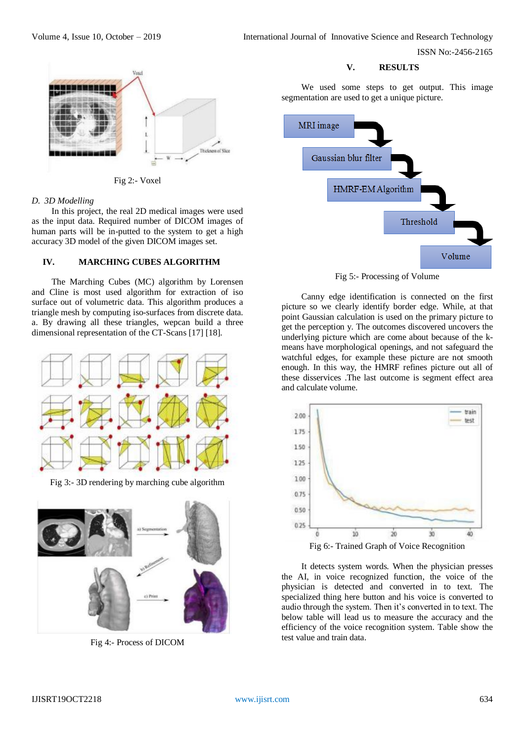# Thickness of Slice

Fig 2:- Voxel

# *D. 3D Modelling*

In this project, the real 2D medical images were used as the input data. Required number of DICOM images of human parts will be in-putted to the system to get a high accuracy 3D model of the given DICOM images set.

# **IV. MARCHING CUBES ALGORITHM**

The Marching Cubes (MC) algorithm by Lorensen and Cline is most used algorithm for extraction of iso surface out of volumetric data. This algorithm produces a triangle mesh by computing iso-surfaces from discrete data. a. By drawing all these triangles, wepcan build a three dimensional representation of the CT-Scans [17] [18].



Fig 3:- 3D rendering by marching cube algorithm



Fig 4:- Process of DICOM

#### **V. RESULTS**

We used some steps to get output. This image segmentation are used to get a unique picture.



Fig 5:- Processing of Volume

Canny edge identification is connected on the first picture so we clearly identify border edge. While, at that point Gaussian calculation is used on the primary picture to get the perception y. The outcomes discovered uncovers the underlying picture which are come about because of the kmeans have morphological openings, and not safeguard the watchful edges, for example these picture are not smooth enough. In this way, the HMRF refines picture out all of these disservices .The last outcome is segment effect area and calculate volume.



It detects system words. When the physician presses the AI, in voice recognized function, the voice of the physician is detected and converted in to text. The specialized thing here button and his voice is converted to audio through the system. Then it's converted in to text. The below table will lead us to measure the accuracy and the efficiency of the voice recognition system. Table show the test value and train data.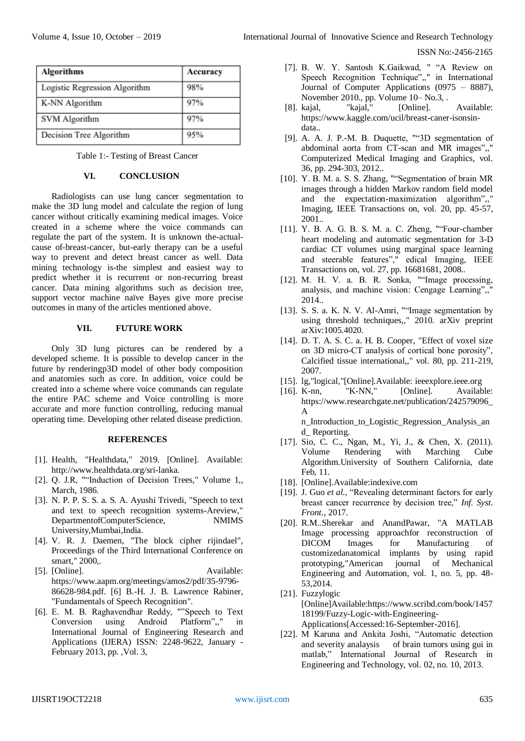| <b>Algorithms</b>             | Accuracy |
|-------------------------------|----------|
| Logistic Regression Algorithm | 98%      |
| <b>K-NN Algorithm</b>         | 97%      |
| <b>SVM Algorithm</b>          | 97%      |
| Decision Tree Algorithm       | 95%      |

Table 1:- Testing of Breast Cancer

# **VI. CONCLUSION**

Radiologists can use lung cancer segmentation to make the 3D lung model and calculate the region of lung cancer without critically examining medical images. Voice created in a scheme where the voice commands can regulate the part of the system. It is unknown the-actualcause of-breast-cancer, but-early therapy can be a useful way to prevent and detect breast cancer as well. Data mining technology is-the simplest and easiest way to predict whether it is recurrent or non-recurring breast cancer. Data mining algorithms such as decision tree, support vector machine naïve Bayes give more precise outcomes in many of the articles mentioned above.

#### **VII. FUTURE WORK**

Only 3D lung pictures can be rendered by a developed scheme. It is possible to develop cancer in the future by renderingp3D model of other body composition and anatomies such as core. In addition, voice could be created into a scheme where voice commands can regulate the entire PAC scheme and Voice controlling is more accurate and more function controlling, reducing manual operating time. Developing other related disease prediction.

#### **REFERENCES**

- [1]. Health, "Healthdata," 2019. [Online]. Available: http://www.healthdata.org/sri-lanka.
- [2]. Q. J.R, ""Induction of Decision Trees," Volume 1,, March, 1986.
- [3]. N. P. P. S. S. a. S. A. Ayushi Trivedi, "Speech to text and text to speech recognition systems-Areview," DepartmentofComputerScience, NMIMS University,Mumbai,India.
- [4]. V. R. J. Daemen, "The block cipher rijindael", Proceedings of the Third International Conference on smart," 2000,.
- [5]. [Online]. Available: https://www.aapm.org/meetings/amos2/pdf/35-9796- 86628-984.pdf. [6] B.-H. J. B. Lawrence Rabiner, "Fundamentals of Speech Recognition".
- [6]. E. M. B. Raghavendhar Reddy, ""Speech to Text Conversion using Android Platform",," in International Journal of Engineering Research and Applications (IJERA) ISSN: 2248-9622, January - February 2013, pp. ,Vol. 3,
- [7]. B. W. Y. Santosh K.Gaikwad, " "A Review on Speech Recognition Technique",," in International Journal of Computer Applications (0975 – 8887), November 2010., pp. Volume 10– No.3, .
- [8]. kajal, "kajal," [Online]. Available: https://www.kaggle.com/ucil/breast-caner-isonsindata..
- [9]. A. A. J. P.-M. B. Duquette, ""3D segmentation of abdominal aorta from CT-scan and MR images",," Computerized Medical Imaging and Graphics, vol. 36, pp. 294-303, 2012..
- [10]. Y. B. M. a. S. S. Zhang, ""Segmentation of brain MR images through a hidden Markov random field model and the expectation-maximization algorithm",," Imaging, IEEE Transactions on, vol. 20, pp. 45-57, 2001..
- [11]. Y. B. A. G. B. S. M. a. C. Zheng, ""Four-chamber heart modeling and automatic segmentation for 3-D cardiac CT volumes using marginal space learning and steerable features"," edical Imaging, IEEE Transactions on, vol. 27, pp. 16681681, 2008..
- [12]. M. H. V. a. B. R. Sonka, ""Image processing, analysis, and machine vision: Cengage Learning",," 2014..
- [13]. S. S. a. K. N. V. Al-Amri, ""Image segmentation by using threshold techniques,," 2010. arXiv preprint arXiv:1005.4020.
- [14]. D. T. A. S. C. a. H. B. Cooper, "Effect of voxel size on 3D micro-CT analysis of cortical bone porosity", Calcified tissue international,," vol. 80, pp. 211-219, 2007.
- [15]. lg,"logical,"[Online].Available: ieeexplore.ieee.org
- [16]. K-nn, "K-NN," [Online]. Available: https://www.researchgate.net/publication/242579096\_ A

n\_Introduction\_to\_Logistic\_Regression\_Analysis\_an d\_ Reporting.

- [17]. Sio, C. C., Ngan, M., Yi, J., & Chen, X. (2011). Volume Rendering with Marching Cube Algorithm.University of Southern California, date Feb, 11.
- [18]. [Online].Available:indexive.com
- [19]. J. Guo *et al.*, "Revealing determinant factors for early breast cancer recurrence by decision tree," *Inf. Syst. Front.*, 2017.
- [20]. R.M..Sherekar and AnandPawar, "A MATLAB Image processing approachfor reconstruction of DICOM Images for Manufacturing of customizedanatomical implants by using rapid prototyping,"American journal of Mechanical Engineering and Automation, vol. 1, no. 5, pp. 48- 53,2014.
- [21]. Fuzzylogic [Online]Available:https://www.scribd.com/book/1457 18199/Fuzzy-Logic-with-Engineering-Applications[Accessed:16-September-2016].
- [22]. M Karuna and Ankita Joshi, "Automatic detection and severity analaysis of brain tumors using gui in matlab," International Journal of Research in Engineering and Technology, vol. 02, no. 10, 2013.